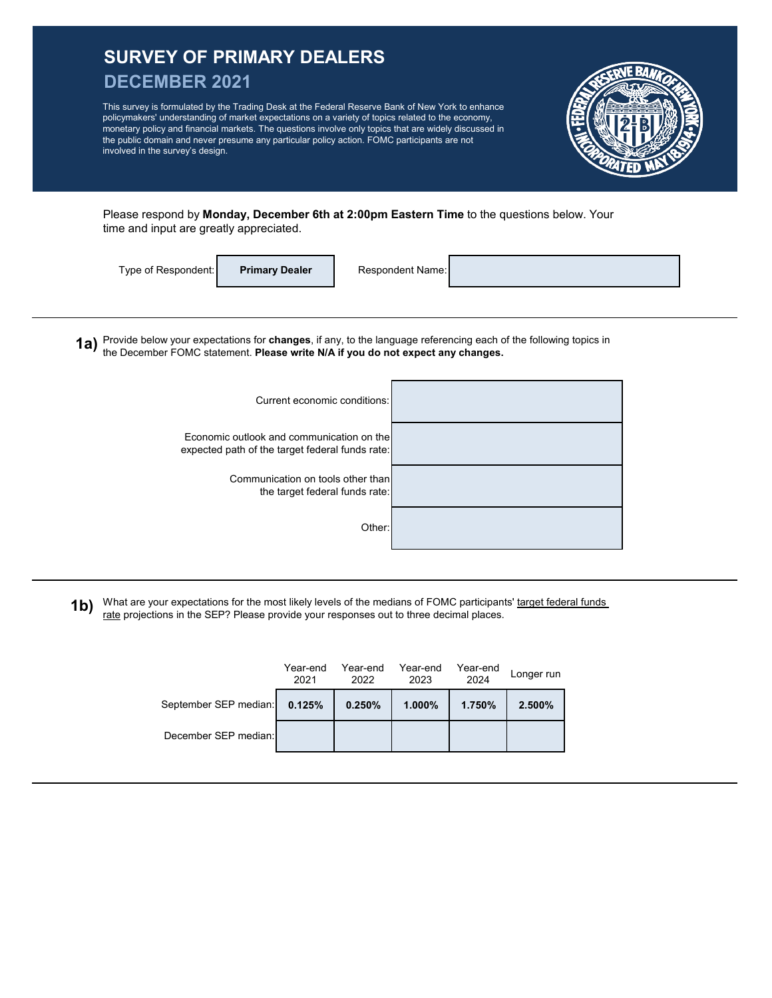## **SURVEY OF PRIMARY DEALERS DECEMBER 2021 1a)** Provide below your expectations for **changes**, if any, to the language referencing each of the following topics in This survey is formulated by the Trading Desk at the Federal Reserve Bank of New York to enhance policymakers' understanding of market expectations on a variety of topics related to the economy, monetary policy and financial markets. The questions involve only topics that are widely discussed in the public domain and never presume any particular policy action. FOMC participants are not involved in the survey's design. Type of Respondent: Current economic conditions: Please respond by **Monday, December 6th at 2:00pm Eastern Time** to the questions below. Your time and input are greatly appreciated. **Primary Dealer** Respondent Name: the December FOMC statement. **Please write N/A if you do not expect any changes.** Economic outlook and communication on the

Communication on tools other than the target federal funds rate:

expected path of the target federal funds rate:

**1b)**  What are your expectations for the most likely levels of the medians of FOMC participants' target federal funds rate projections in the SEP? Please provide your responses out to three decimal places.

Other:

|                       | Year-end<br>2021 | Year-end<br>2022 | Year-end<br>2023 | Year-end<br>2024 | Longer run |
|-----------------------|------------------|------------------|------------------|------------------|------------|
| September SEP median: | 0.125%           | 0.250%           | $1.000\%$        | 1.750%           | 2.500%     |
| December SEP median:  |                  |                  |                  |                  |            |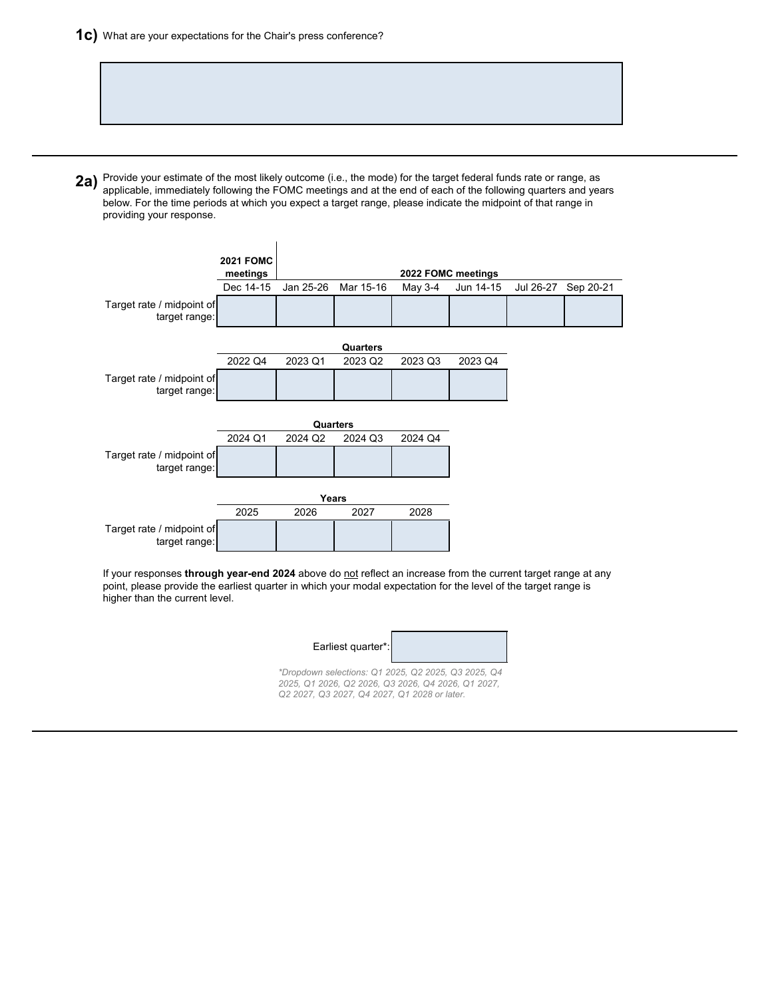2a) Provide your estimate of the most likely outcome (i.e., the mode) for the target federal funds rate or range, as<br>2a) applicable, immodiately following the EOMC meetings and at the end of each of the following quarters applicable, immediately following the FOMC meetings and at the end of each of the following quarters and years below. For the time periods at which you expect a target range, please indicate the midpoint of that range in providing your response.



If your responses *through year-end 2024* above do not reflect an increase from the current target range at any point, please provide the earliest quarter in which your modal expectation for the level of the target range is higher than the current level.

| Earliest quarter*: |
|--------------------|
|--------------------|



*\*Dropdown selections: Q1 2025, Q2 2025, Q3 2025, Q4 2025, Q1 2026, Q2 2026, Q3 2026, Q4 2026, Q1 2027, Q2 2027, Q3 2027, Q4 2027, Q1 2028 or later.*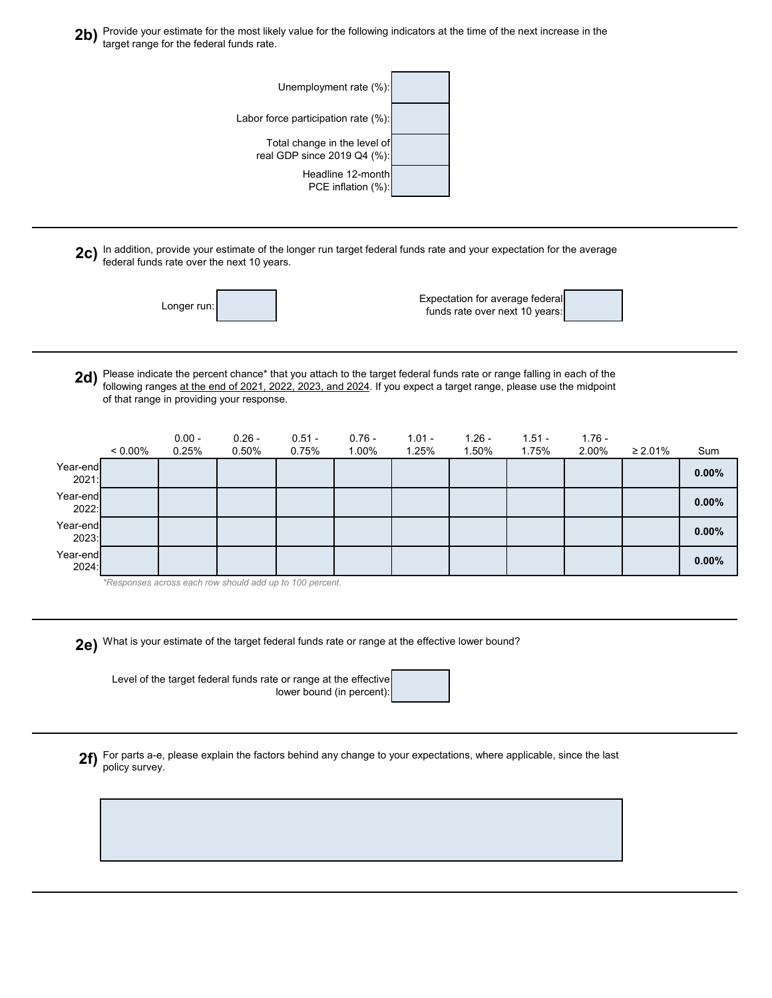2b) Provide your estimate for the most likely value for the following indicators at the time of the next increase in the<br>**2b)** target range for the foderal funds rate target range for the federal funds rate.

| Unemployment rate (%):                                      |
|-------------------------------------------------------------|
| Labor force participation rate (%):                         |
| Total change in the level of<br>real GDP since 2019 Q4 (%): |
| Headline 12-month<br>PCE inflation (%):                     |

2c) In addition, provide your estimate of the longer run target federal funds rate and your expectation for the average<br>following turbs rate over the next 10 years federal funds rate over the next 10 years.

| Longer run: |
|-------------|
|-------------|

Expectation for average federa funds rate over next 10 years:

| л. |  |
|----|--|
|    |  |
|    |  |
|    |  |
|    |  |

**2d)** Please indicate the percent chance\* that you attach to the target federal funds rate or range falling in each of the<br> **2d)** following ranges at the end of 2021, 2022, 2023, and 2024. If you expect a target range, ple following ranges at the end of 2021, 2022, 2023, and 2024. If you expect a target range, please use the midpoint of that range in providing your response.

|                   | $< 0.00\%$ | $0.00 -$<br>0.25% | $0.26 -$<br>0.50% | $0.51 -$<br>0.75% | $0.76 -$<br>1.00% | $1.01 -$<br>1.25% | $1.26 -$<br>1.50% | $1.51 -$<br>1.75% | $1.76 -$<br>2.00% | $\geq 2.01\%$ | Sum      |
|-------------------|------------|-------------------|-------------------|-------------------|-------------------|-------------------|-------------------|-------------------|-------------------|---------------|----------|
| Year-end<br>2021: |            |                   |                   |                   |                   |                   |                   |                   |                   |               | $0.00\%$ |
| Year-end<br>2022: |            |                   |                   |                   |                   |                   |                   |                   |                   |               | $0.00\%$ |
| Year-end<br>2023: |            |                   |                   |                   |                   |                   |                   |                   |                   |               | $0.00\%$ |
| Year-end<br>2024: |            |                   |                   |                   |                   |                   |                   |                   |                   |               | $0.00\%$ |

*\*Responses across each row should add up to 100 percent.*

**2e)** What is your estimate of the target federal funds rate or range at the effective lower bound?

Level of the target federal funds rate or range at the effective lower bound (in percent)

**2f)** For parts a-e, please explain the factors behind any change to your expectations, where applicable, since the last policy survey.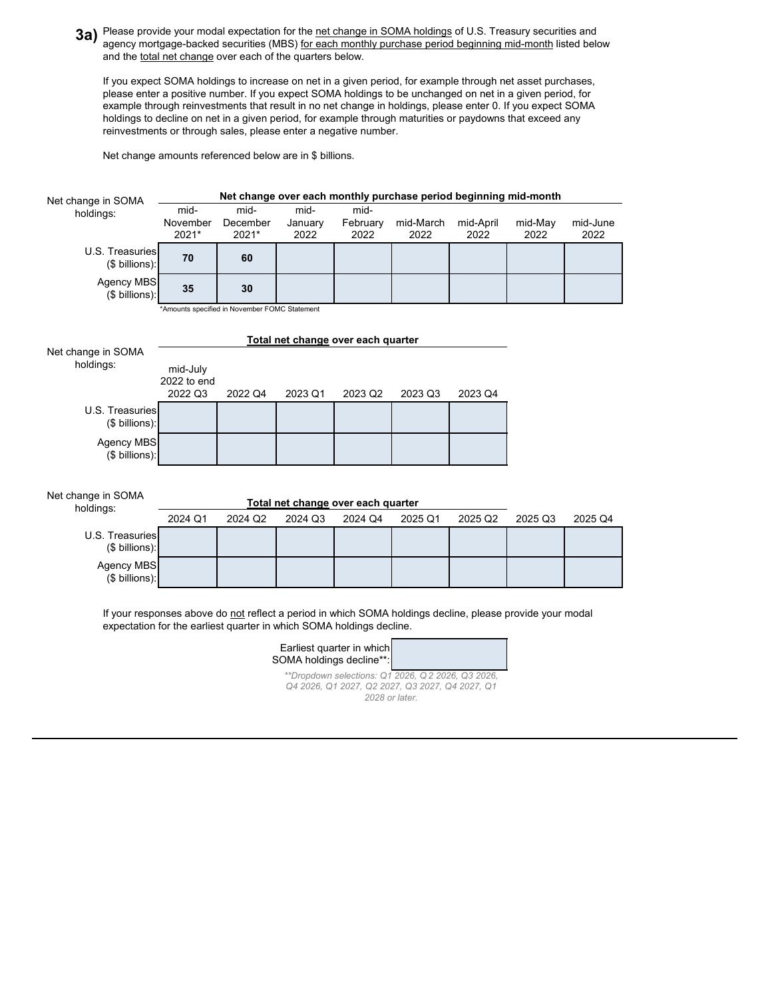**3a)** Please provide your modal expectation for the <u>net change in SOMA holdings</u> of U.S. Treasury securities and<br> **3a)** agency mertaage backed securities (MBS) for each menthly purchase period beginning mid menth listed b agency mortgage-backed securities (MBS) for each monthly purchase period beginning mid-month listed below and the total net change over each of the quarters below.

If you expect SOMA holdings to increase on net in a given period, for example through net asset purchases, please enter a positive number. If you expect SOMA holdings to be unchanged on net in a given period, for example through reinvestments that result in no net change in holdings, please enter 0. If you expect SOMA holdings to decline on net in a given period, for example through maturities or paydowns that exceed any reinvestments or through sales, please enter a negative number.

Net change amounts referenced below are in \$ billions.

| Net change in SOMA                  | Net change over each monthly purchase period beginning mid-month                                          |                   |                                    |                           |                                                |                   |                 |                  |  |  |
|-------------------------------------|-----------------------------------------------------------------------------------------------------------|-------------------|------------------------------------|---------------------------|------------------------------------------------|-------------------|-----------------|------------------|--|--|
| holdings:                           | mid-                                                                                                      | mid-              | mid-                               | mid-                      |                                                |                   |                 |                  |  |  |
|                                     | November<br>2021*                                                                                         | December<br>2021* | January<br>2022                    | February<br>2022          | mid-March<br>2022                              | mid-April<br>2022 | mid-May<br>2022 | mid-June<br>2022 |  |  |
| U.S. Treasuries                     |                                                                                                           |                   |                                    |                           |                                                |                   |                 |                  |  |  |
| $($$ billions):                     | 70                                                                                                        | 60                |                                    |                           |                                                |                   |                 |                  |  |  |
| <b>Agency MBS</b><br>(\$ billions): | 35                                                                                                        | 30                |                                    |                           |                                                |                   |                 |                  |  |  |
|                                     | *Amounts specified in November FOMC Statement                                                             |                   |                                    |                           |                                                |                   |                 |                  |  |  |
|                                     |                                                                                                           |                   | Total net change over each quarter |                           |                                                |                   |                 |                  |  |  |
| Net change in SOMA                  |                                                                                                           |                   |                                    |                           |                                                |                   |                 |                  |  |  |
| holdings:                           | mid-July<br>2022 to end                                                                                   |                   |                                    |                           |                                                |                   |                 |                  |  |  |
|                                     | 2022 Q3                                                                                                   | 2022 Q4           | 2023 Q1                            | 2023 Q2                   | 2023 Q3                                        | 2023 Q4           |                 |                  |  |  |
| U.S. Treasuries                     |                                                                                                           |                   |                                    |                           |                                                |                   |                 |                  |  |  |
| $($$ billions):                     |                                                                                                           |                   |                                    |                           |                                                |                   |                 |                  |  |  |
| Agency MBS<br>(\$ billions):        |                                                                                                           |                   |                                    |                           |                                                |                   |                 |                  |  |  |
|                                     |                                                                                                           |                   |                                    |                           |                                                |                   |                 |                  |  |  |
| Net change in SOMA                  | Total net change over each quarter                                                                        |                   |                                    |                           |                                                |                   |                 |                  |  |  |
| holdings:                           | 2024 Q1                                                                                                   | 2024 Q2           | 2024 Q3                            | 2024 Q4                   | 2025 Q1                                        | 2025 Q2           | 2025 Q3         | 2025 Q4          |  |  |
| U.S. Treasuries<br>(\$ billions):   |                                                                                                           |                   |                                    |                           |                                                |                   |                 |                  |  |  |
| Agency MBS                          |                                                                                                           |                   |                                    |                           |                                                |                   |                 |                  |  |  |
| (\$ billions):                      |                                                                                                           |                   |                                    |                           |                                                |                   |                 |                  |  |  |
|                                     | If your responses above do not reflect a period in which SOMA holdings decline, please provide your modal |                   |                                    |                           |                                                |                   |                 |                  |  |  |
|                                     | expectation for the earliest quarter in which SOMA holdings decline.                                      |                   |                                    |                           |                                                |                   |                 |                  |  |  |
|                                     |                                                                                                           |                   | SOMA holdings decline**:           | Earliest quarter in which |                                                |                   |                 |                  |  |  |
|                                     |                                                                                                           |                   |                                    |                           | **Drondown selections: 01 2026 02 2026 03 2026 |                   |                 |                  |  |  |

*Q4 2026, Q1 2027, Q2 2027, Q3 2027, Q4 2027, Q1 2028 or later.*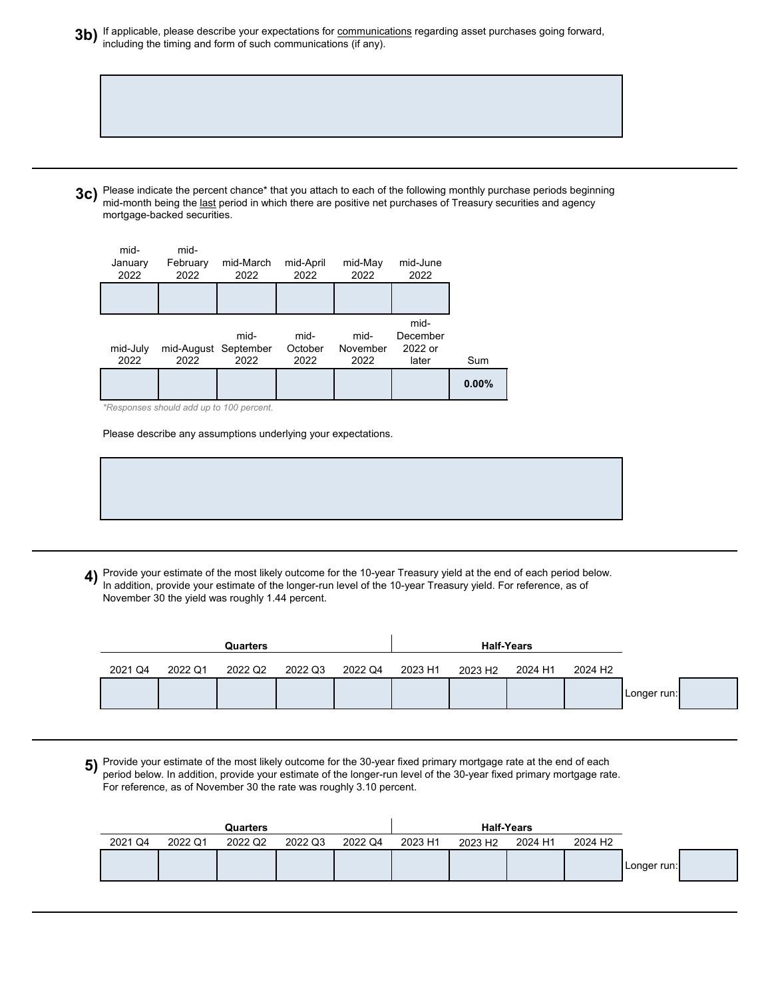**3b)** If applicable, please describe your expectations for <u>communications</u> regarding asset purchases going forward,<br>including the timing and form of such communications (if any) including the timing and form of such communications (if any).

**3c)** Please indicate the percent chance\* that you attach to each of the following monthly purchase periods beginning <br>mid month being the last period in which there are positive net purchases of Tragsury securities and ag mid-month being the last period in which there are positive net purchases of Treasury securities and agency mortgage-backed securities.



*\*Responses should add up to 100 percent.*

Please describe any assumptions underlying your expectations.

**4)** Provide your estimate of the most likely outcome for the 10-year Treasury yield at the end of each period below.<br>In addition, provide your estimate of the longer run loyel of the 10 year Treasury yield. For reference, In addition, provide your estimate of the longer-run level of the 10-year Treasury yield. For reference, as of November 30 the yield was roughly 1.44 percent.

|             |                     | <b>Half-Years</b> |                     |         |         |         | Quarters |         |         |
|-------------|---------------------|-------------------|---------------------|---------|---------|---------|----------|---------|---------|
|             | 2024 H <sub>2</sub> | 2024 H1           | 2023 H <sub>2</sub> | 2023 H1 | 2022 Q4 | 2022 Q3 | 2022 Q2  | 2022 Q1 | 2021 Q4 |
| Longer run: |                     |                   |                     |         |         |         |          |         |         |

**5)** Provide your estimate of the most likely outcome for the 30-year fixed primary mortgage rate at the end of each  $\overline{\phantom{a}}$ period below. In addition, provide your estimate of the longer-run level of the 30-year fixed primary mortgage rate. For reference, as of November 30 the rate was roughly 3.10 percent.

|         |         | Quarters |         |         |         |                     | <b>Half-Years</b> |                     |             |  |
|---------|---------|----------|---------|---------|---------|---------------------|-------------------|---------------------|-------------|--|
| 2021 Q4 | 2022 Q1 | 2022 Q2  | 2022 Q3 | 2022 Q4 | 2023 H1 | 2023 H <sub>2</sub> | 2024 H1           | 2024 H <sub>2</sub> |             |  |
|         |         |          |         |         |         |                     |                   |                     | Longer run: |  |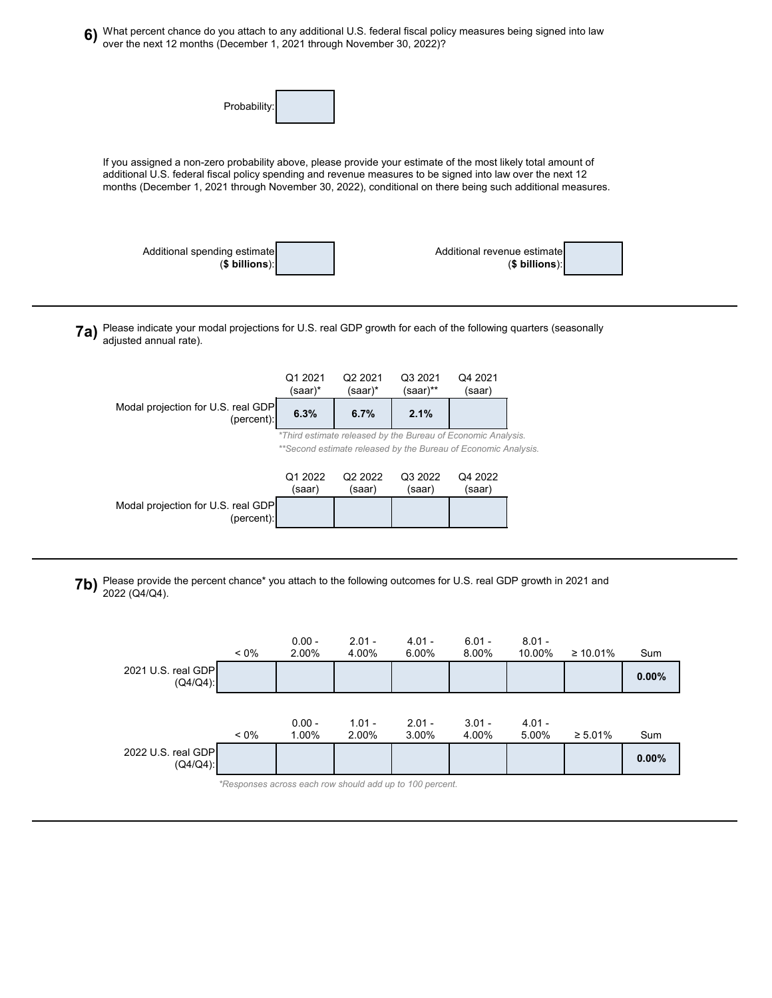

**7b)** Please provide the percent chance\* you attach to the following outcomes for U.S. real GDP growth in 2021 and<br>2022 (O4/O4)

2022 (Q4/Q4).

Modal projection for U.S. real GDP

(percent)

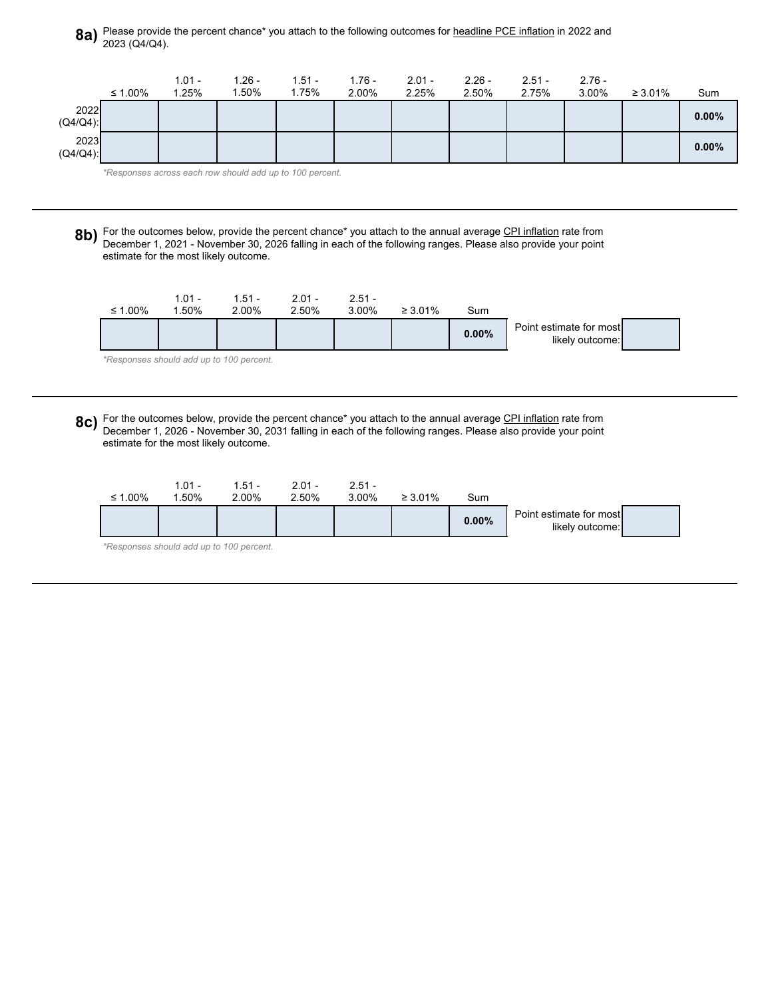## **8a)** Please provide the percent chance\* you attach to the following outcomes for <u>headline PCE inflation</u> in 2022 and<br>2012 (04/04) 2023 (Q4/Q4).



*\*Responses across each row should add up to 100 percent.*

**8b)** For the outcomes below, provide the percent chance\* you attach to the annual average CPI inflation rate from<br>December 1, 2021, November 30, 2026 folling in each of the following ranges. Please also provide your point December 1, 2021 - November 30, 2026 falling in each of the following ranges. Please also provide your point estimate for the most likely outcome.

| ≤ 1.00% | $1.01 -$<br>1.50% | $1.51 -$<br>2.00%                        | $2.01 -$<br>2.50% | $2.51 -$<br>3.00% | $\geq 3.01\%$ | Sum   |                                            |  |
|---------|-------------------|------------------------------------------|-------------------|-------------------|---------------|-------|--------------------------------------------|--|
|         |                   |                                          |                   |                   |               | 0.00% | Point estimate for most<br>likely outcome: |  |
|         |                   | *Responses should add up to 100 percent. |                   |                   |               |       |                                            |  |

**8c)** For the outcomes below, provide the percent chance\* you attach to the annual average CPI inflation rate from<br>December 1, 2026, November 30, 2031 folling in each of the following ranges. Please also provide your point December 1, 2026 - November 30, 2031 falling in each of the following ranges. Please also provide your point estimate for the most likely outcome.

| $\leq 1.00\%$ | $1.01 -$<br>.50% | $1.51 -$<br>2.00% | $2.01 -$<br>2.50% | $2.51 -$<br>3.00% | $\geq 3.01\%$ | Sum   |                                            |  |
|---------------|------------------|-------------------|-------------------|-------------------|---------------|-------|--------------------------------------------|--|
|               |                  |                   |                   |                   |               | 0.00% | Point estimate for most<br>likely outcome: |  |

*\*Responses should add up to 100 percent.*